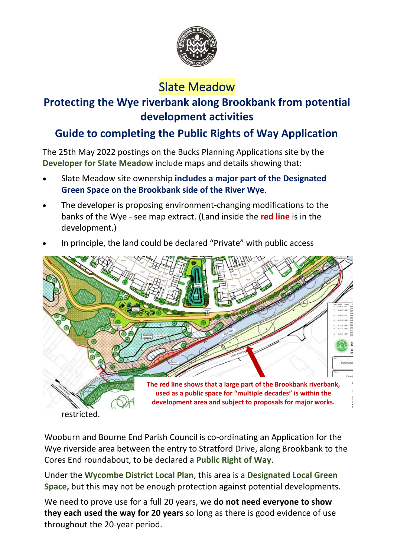

# Slate Meadow

### **Protecting the Wye riverbank along Brookbank from potential development activities**

## **Guide to completing the Public Rights of Way Application**

The 25th May 2022 postings on the Bucks Planning Applications site by the **Developer for Slate Meadow** include maps and details showing that:

- Slate Meadow site ownership **includes a major part of the Designated Green Space on the Brookbank side of the River Wye**.
- The developer is proposing environment-changing modifications to the banks of the Wye - see map extract. (Land inside the **red line** is in the development.)



• In principle, the land could be declared "Private" with public access

Wooburn and Bourne End Parish Council is co-ordinating an Application for the Wye riverside area between the entry to Stratford Drive, along Brookbank to the Cores End roundabout, to be declared a **Public Right of Way**.

Under the **Wycombe District Local Plan**, this area is a **Designated Local Green Space,** but this may not be enough protection against potential developments.

We need to prove use for a full 20 years, we **do not need everyone to show they each used the way for 20 years** so long as there is good evidence of use throughout the 20-year period.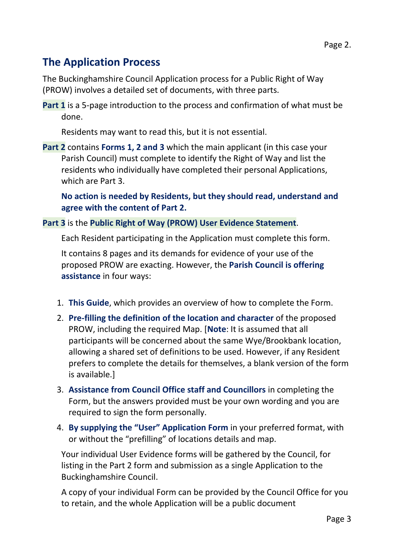### **The Application Process**

The Buckinghamshire Council Application process for a Public Right of Way (PROW) involves a detailed set of documents, with three parts.

**Part 1** is a 5-page introduction to the process and confirmation of what must be done.

Residents may want to read this, but it is not essential.

**Part 2** contains **Forms 1, 2 and 3** which the main applicant (in this case your Parish Council) must complete to identify the Right of Way and list the residents who individually have completed their personal Applications, which are Part 3.

**No action is needed by Residents, but they should read, understand and agree with the content of Part 2.**

#### **Part 3** is the **Public Right of Way (PROW) User Evidence Statement**.

Each Resident participating in the Application must complete this form.

It contains 8 pages and its demands for evidence of your use of the proposed PROW are exacting. However, the **Parish Council is offering assistance** in four ways:

- 1. **This Guide**, which provides an overview of how to complete the Form.
- 2. **Pre-filling the definition of the location and character** of the proposed PROW, including the required Map. [**Note**: It is assumed that all participants will be concerned about the same Wye/Brookbank location, allowing a shared set of definitions to be used. However, if any Resident prefers to complete the details for themselves, a blank version of the form is available.]
- 3. **Assistance from Council Office staff and Councillors** in completing the Form, but the answers provided must be your own wording and you are required to sign the form personally.
- 4. **By supplying the "User" Application Form** in your preferred format, with or without the "prefilling" of locations details and map.

Your individual User Evidence forms will be gathered by the Council, for listing in the Part 2 form and submission as a single Application to the Buckinghamshire Council.

A copy of your individual Form can be provided by the Council Office for you to retain, and the whole Application will be a public document